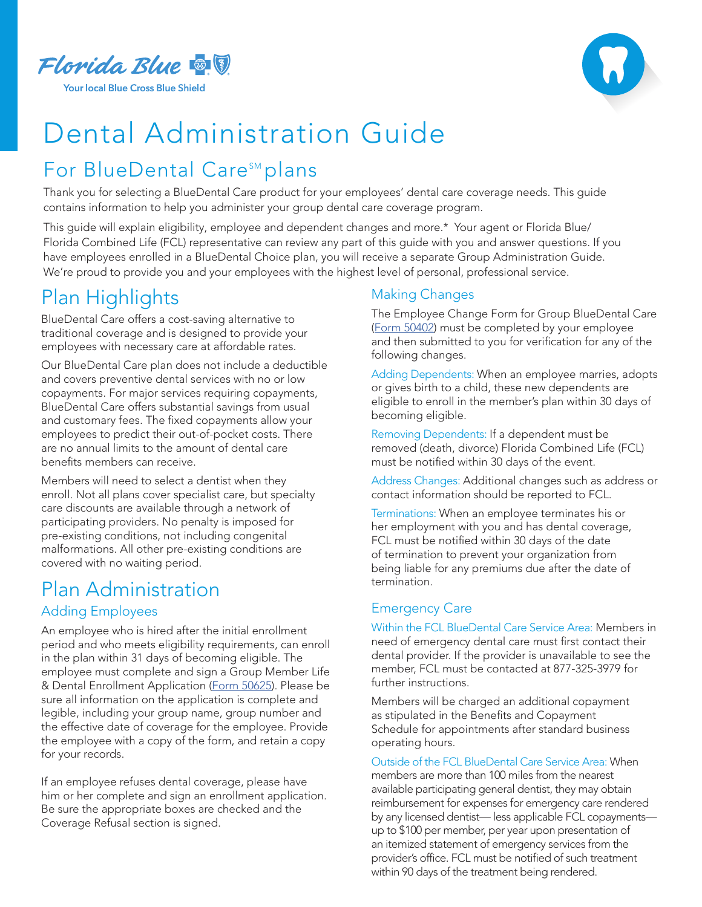

# Dental Administration Guide

## For BlueDental Care<sup>sM</sup> plans

Thank you for selecting a BlueDental Care product for your employees' dental care coverage needs. This guide contains information to help you administer your group dental care coverage program.

This guide will explain eligibility, employee and dependent changes and more.\* Your agent or Florida Blue/ Florida Combined Life (FCL) representative can review any part of this guide with you and answer questions. If you have employees enrolled in a BlueDental Choice plan, you will receive a separate Group Administration Guide. We're proud to provide you and your employees with the highest level of personal, professional service.

### Plan Highlights

BlueDental Care offers a cost-saving alternative to traditional coverage and is designed to provide your employees with necessary care at affordable rates.

Our BlueDental Care plan does not include a deductible and covers preventive dental services with no or low copayments. For major services requiring copayments, BlueDental Care offers substantial savings from usual and customary fees. The fixed copayments allow your employees to predict their out-of-pocket costs. There are no annual limits to the amount of dental care benefits members can receive.

Members will need to select a dentist when they enroll. Not all plans cover specialist care, but specialty care discounts are available through a network of participating providers. No penalty is imposed for pre-existing conditions, not including congenital malformations. All other pre-existing conditions are covered with no waiting period.

### Plan Administration Adding Employees

An employee who is hired after the initial enrollment period and who meets eligibility requirements, can enroll in the plan within 31 days of becoming eligible. The employee must complete and sign a Group Member Life & Dental Enrollment Application ([Form 50625\)](https://docs.floridabluedental.com/files/50625-0816R-TAGLINES-COMBINED-EE-DENTAL-APPLICATION.pdf). Please be sure all information on the application is complete and legible, including your group name, group number and the effective date of coverage for the employee. Provide the employee with a copy of the form, and retain a copy for your records.

If an employee refuses dental coverage, please have him or her complete and sign an enrollment application. Be sure the appropriate boxes are checked and the Coverage Refusal section is signed.

#### Making Changes

The Employee Change Form for Group BlueDental Care ([Form 50402\)](https://docs.floridabluedental.com/files/GROUP-CHANGE-FORM-CARE-50402.pdf) must be completed by your employee and then submitted to you for verification for any of the following changes.

Adding Dependents: When an employee marries, adopts or gives birth to a child, these new dependents are eligible to enroll in the member's plan within 30 days of becoming eligible.

Removing Dependents: If a dependent must be removed (death, divorce) Florida Combined Life (FCL) must be notified within 30 days of the event.

Address Changes: Additional changes such as address or contact information should be reported to FCL.

Terminations: When an employee terminates his or her employment with you and has dental coverage, FCL must be notified within 30 days of the date of termination to prevent your organization from being liable for any premiums due after the date of termination.

#### Emergency Care

Within the FCL BlueDental Care Service Area: Members in need of emergency dental care must first contact their dental provider. If the provider is unavailable to see the member, FCL must be contacted at 877-325-3979 for further instructions.

Members will be charged an additional copayment as stipulated in the Benefits and Copayment Schedule for appointments after standard business operating hours.

Outside of the FCL BlueDental Care Service Area: When members are more than 100 miles from the nearest available participating general dentist, they may obtain reimbursement for expenses for emergency care rendered by any licensed dentist— less applicable FCL copayments up to \$100 per member, per year upon presentation of an itemized statement of emergency services from the provider's office. FCL must be notified of such treatment within 90 days of the treatment being rendered.